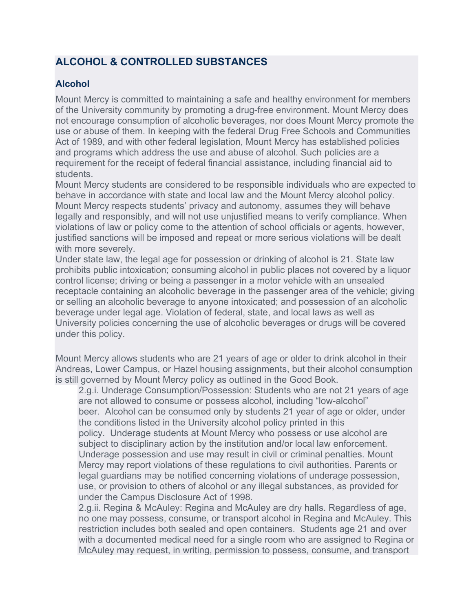## **ALCOHOL & CONTROLLED SUBSTANCES**

## **Alcohol**

Mount Mercy is committed to maintaining a safe and healthy environment for members of the University community by promoting a drug-free environment. Mount Mercy does not encourage consumption of alcoholic beverages, nor does Mount Mercy promote the use or abuse of them. In keeping with the federal Drug Free Schools and Communities Act of 1989, and with other federal legislation, Mount Mercy has established policies and programs which address the use and abuse of alcohol. Such policies are a requirement for the receipt of federal financial assistance, including financial aid to students.

Mount Mercy students are considered to be responsible individuals who are expected to behave in accordance with state and local law and the Mount Mercy alcohol policy. Mount Mercy respects students' privacy and autonomy, assumes they will behave legally and responsibly, and will not use unjustified means to verify compliance. When violations of law or policy come to the attention of school officials or agents, however, justified sanctions will be imposed and repeat or more serious violations will be dealt with more severely.

Under state law, the legal age for possession or drinking of alcohol is 21. State law prohibits public intoxication; consuming alcohol in public places not covered by a liquor control license; driving or being a passenger in a motor vehicle with an unsealed receptacle containing an alcoholic beverage in the passenger area of the vehicle; giving or selling an alcoholic beverage to anyone intoxicated; and possession of an alcoholic beverage under legal age. Violation of federal, state, and local laws as well as University policies concerning the use of alcoholic beverages or drugs will be covered under this policy.

Mount Mercy allows students who are 21 years of age or older to drink alcohol in their Andreas, Lower Campus, or Hazel housing assignments, but their alcohol consumption is still governed by Mount Mercy policy as outlined in the Good Book.

2.g.i. Underage Consumption/Possession: Students who are not 21 years of age are not allowed to consume or possess alcohol, including "low-alcohol" beer. Alcohol can be consumed only by students 21 year of age or older, under the conditions listed in the University alcohol policy printed in this policy. Underage students at Mount Mercy who possess or use alcohol are subject to disciplinary action by the institution and/or local law enforcement. Underage possession and use may result in civil or criminal penalties. Mount Mercy may report violations of these regulations to civil authorities. Parents or legal guardians may be notified concerning violations of underage possession, use, or provision to others of alcohol or any illegal substances, as provided for under the Campus Disclosure Act of 1998.

2.g.ii. Regina & McAuley: Regina and McAuley are dry halls. Regardless of age, no one may possess, consume, or transport alcohol in Regina and McAuley. This restriction includes both sealed and open containers. Students age 21 and over with a documented medical need for a single room who are assigned to Regina or McAuley may request, in writing, permission to possess, consume, and transport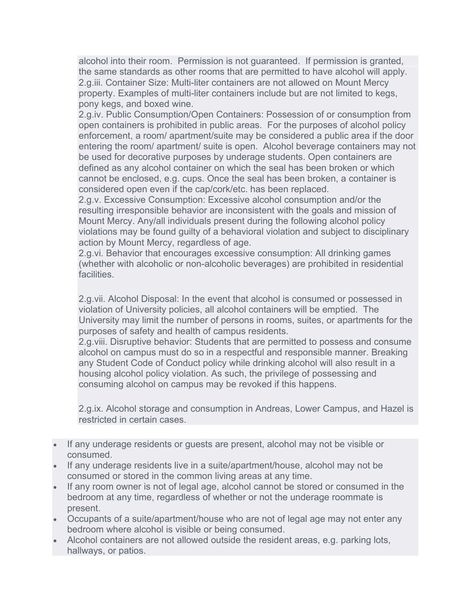alcohol into their room. Permission is not guaranteed. If permission is granted, the same standards as other rooms that are permitted to have alcohol will apply. 2.g.iii. Container Size: Multi-liter containers are not allowed on Mount Mercy property. Examples of multi-liter containers include but are not limited to kegs, pony kegs, and boxed wine.

2.g.iv. Public Consumption/Open Containers: Possession of or consumption from open containers is prohibited in public areas. For the purposes of alcohol policy enforcement, a room/ apartment/suite may be considered a public area if the door entering the room/ apartment/ suite is open. Alcohol beverage containers may not be used for decorative purposes by underage students. Open containers are defined as any alcohol container on which the seal has been broken or which cannot be enclosed, e.g. cups. Once the seal has been broken, a container is considered open even if the cap/cork/etc. has been replaced.

2.g.v. Excessive Consumption: Excessive alcohol consumption and/or the resulting irresponsible behavior are inconsistent with the goals and mission of Mount Mercy. Any/all individuals present during the following alcohol policy violations may be found guilty of a behavioral violation and subject to disciplinary action by Mount Mercy, regardless of age.

2.g.vi. Behavior that encourages excessive consumption: All drinking games (whether with alcoholic or non-alcoholic beverages) are prohibited in residential facilities.

2.g.vii. Alcohol Disposal: In the event that alcohol is consumed or possessed in violation of University policies, all alcohol containers will be emptied. The University may limit the number of persons in rooms, suites, or apartments for the purposes of safety and health of campus residents.

2.g.viii. Disruptive behavior: Students that are permitted to possess and consume alcohol on campus must do so in a respectful and responsible manner. Breaking any Student Code of Conduct policy while drinking alcohol will also result in a housing alcohol policy violation. As such, the privilege of possessing and consuming alcohol on campus may be revoked if this happens.

2.g.ix. Alcohol storage and consumption in Andreas, Lower Campus, and Hazel is restricted in certain cases.

- If any underage residents or guests are present, alcohol may not be visible or consumed.
- If any underage residents live in a suite/apartment/house, alcohol may not be consumed or stored in the common living areas at any time.
- If any room owner is not of legal age, alcohol cannot be stored or consumed in the bedroom at any time, regardless of whether or not the underage roommate is present.
- Occupants of a suite/apartment/house who are not of legal age may not enter any bedroom where alcohol is visible or being consumed.
- Alcohol containers are not allowed outside the resident areas, e.g. parking lots, hallways, or patios.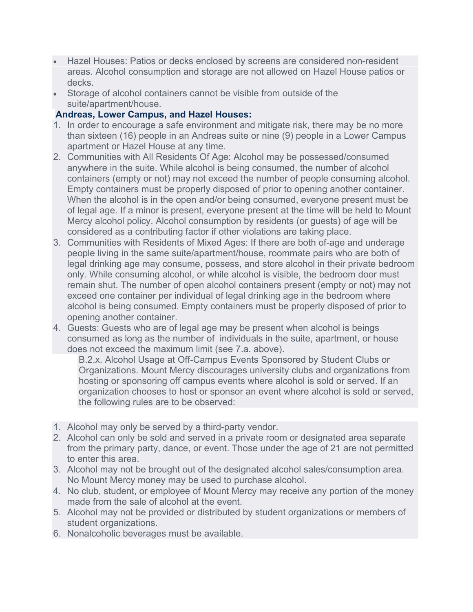- Hazel Houses: Patios or decks enclosed by screens are considered non-resident areas. Alcohol consumption and storage are not allowed on Hazel House patios or decks.
- Storage of alcohol containers cannot be visible from outside of the suite/apartment/house.

## **Andreas, Lower Campus, and Hazel Houses:**

- 1. In order to encourage a safe environment and mitigate risk, there may be no more than sixteen (16) people in an Andreas suite or nine (9) people in a Lower Campus apartment or Hazel House at any time.
- 2. Communities with All Residents Of Age: Alcohol may be possessed/consumed anywhere in the suite. While alcohol is being consumed, the number of alcohol containers (empty or not) may not exceed the number of people consuming alcohol. Empty containers must be properly disposed of prior to opening another container. When the alcohol is in the open and/or being consumed, everyone present must be of legal age. If a minor is present, everyone present at the time will be held to Mount Mercy alcohol policy. Alcohol consumption by residents (or guests) of age will be considered as a contributing factor if other violations are taking place.
- 3. Communities with Residents of Mixed Ages: If there are both of-age and underage people living in the same suite/apartment/house, roommate pairs who are both of legal drinking age may consume, possess, and store alcohol in their private bedroom only. While consuming alcohol, or while alcohol is visible, the bedroom door must remain shut. The number of open alcohol containers present (empty or not) may not exceed one container per individual of legal drinking age in the bedroom where alcohol is being consumed. Empty containers must be properly disposed of prior to opening another container.
- 4. Guests: Guests who are of legal age may be present when alcohol is beings consumed as long as the number of individuals in the suite, apartment, or house does not exceed the maximum limit (see 7.a. above).

B.2.x. Alcohol Usage at Off-Campus Events Sponsored by Student Clubs or Organizations. Mount Mercy discourages university clubs and organizations from hosting or sponsoring off campus events where alcohol is sold or served. If an organization chooses to host or sponsor an event where alcohol is sold or served, the following rules are to be observed:

- 1. Alcohol may only be served by a third-party vendor.
- 2. Alcohol can only be sold and served in a private room or designated area separate from the primary party, dance, or event. Those under the age of 21 are not permitted to enter this area.
- 3. Alcohol may not be brought out of the designated alcohol sales/consumption area. No Mount Mercy money may be used to purchase alcohol.
- 4. No club, student, or employee of Mount Mercy may receive any portion of the money made from the sale of alcohol at the event.
- 5. Alcohol may not be provided or distributed by student organizations or members of student organizations.
- 6. Nonalcoholic beverages must be available.